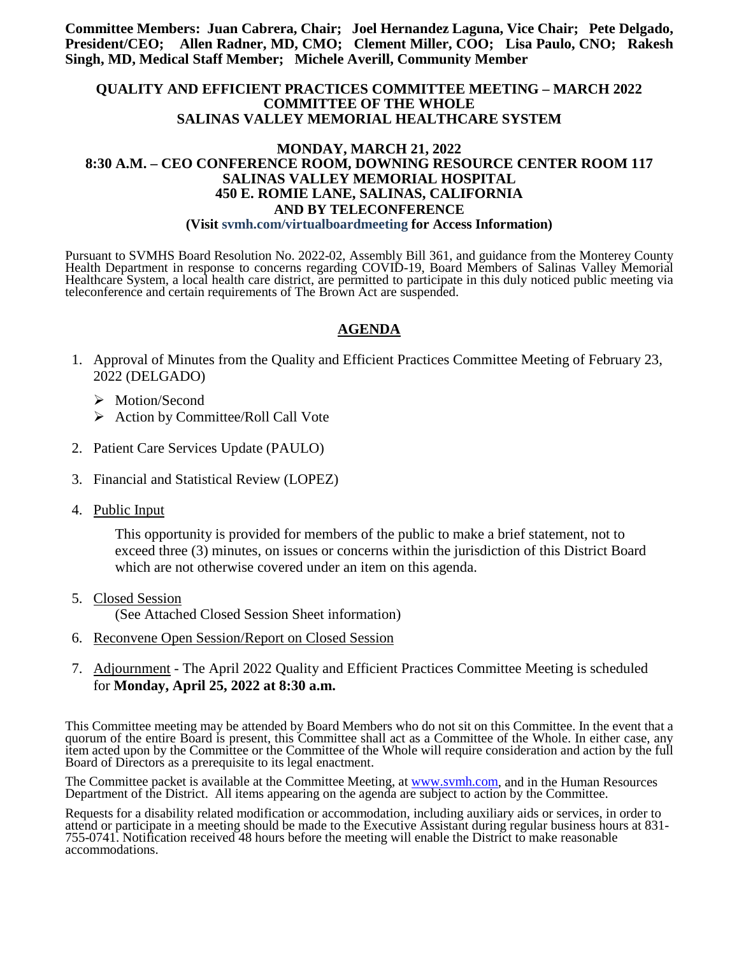**Committee Members: Juan Cabrera, Chair; Joel Hernandez Laguna, Vice Chair; Pete Delgado, President/CEO; Allen Radner, MD, CMO; Clement Miller, COO; Lisa Paulo, CNO; Rakesh Singh, MD, Medical Staff Member; Michele Averill, Community Member**

#### **QUALITY AND EFFICIENT PRACTICES COMMITTEE MEETING – MARCH 2022 COMMITTEE OF THE WHOLE SALINAS VALLEY MEMORIAL HEALTHCARE SYSTEM**

#### **MONDAY, MARCH 21, 2022 8:30 A.M. – CEO CONFERENCE ROOM, DOWNING RESOURCE CENTER ROOM 117 SALINAS VALLEY MEMORIAL HOSPITAL 450 E. ROMIE LANE, SALINAS, CALIFORNIA AND BY TELECONFERENCE (Visit svmh.com/virtualboardmeeting for Access Information)**

Pursuant to SVMHS Board Resolution No. 2022-02, Assembly Bill 361, and guidance from the Monterey County Health Department in response to concerns regarding COVID-19, Board Members of Salinas Valley Memorial Healthcare System, a local health care district, are permitted to participate in this duly noticed public meeting via teleconference and certain requirements of The Brown Act are suspended.

#### **AGENDA**

- 1. Approval of Minutes from the Quality and Efficient Practices Committee Meeting of February 23, 2022 (DELGADO)
	- > Motion/Second
	- $\triangleright$  Action by Committee/Roll Call Vote
- 2. Patient Care Services Update (PAULO)
- 3. Financial and Statistical Review (LOPEZ)
- 4. Public Input

This opportunity is provided for members of the public to make a brief statement, not to exceed three (3) minutes, on issues or concerns within the jurisdiction of this District Board which are not otherwise covered under an item on this agenda.

5. Closed Session

(See Attached Closed Session Sheet information)

- 6. Reconvene Open Session/Report on Closed Session
- 7. Adjournment The April 2022 Quality and Efficient Practices Committee Meeting is scheduled for **Monday, April 25, 2022 at 8:30 a.m.**

This Committee meeting may be attended by Board Members who do not sit on this Committee. In the event that a quorum of the entire Board is present, this Committee shall act as a Committee of the Whole. In either case, any item acted upon by the Committee or the Committee of the Whole will require consideration and action by the full Board of Directors as a prerequisite to its legal enactment.

The Committee packet is available at the Committee Meeting, at [www.svmh.com,](http://www.svmh.com/) and in the Human Resources Department of the District. All items appearing on the agenda are subject to action by the Committee.

Requests for a disability related modification or accommodation, including auxiliary aids or services, in order to attend or participate in a meeting should be made to the Executive Assistant during regular business hours at 831- 755-0741. Notification received 48 hours before the meeting will enable the District to make reasonable accommodations.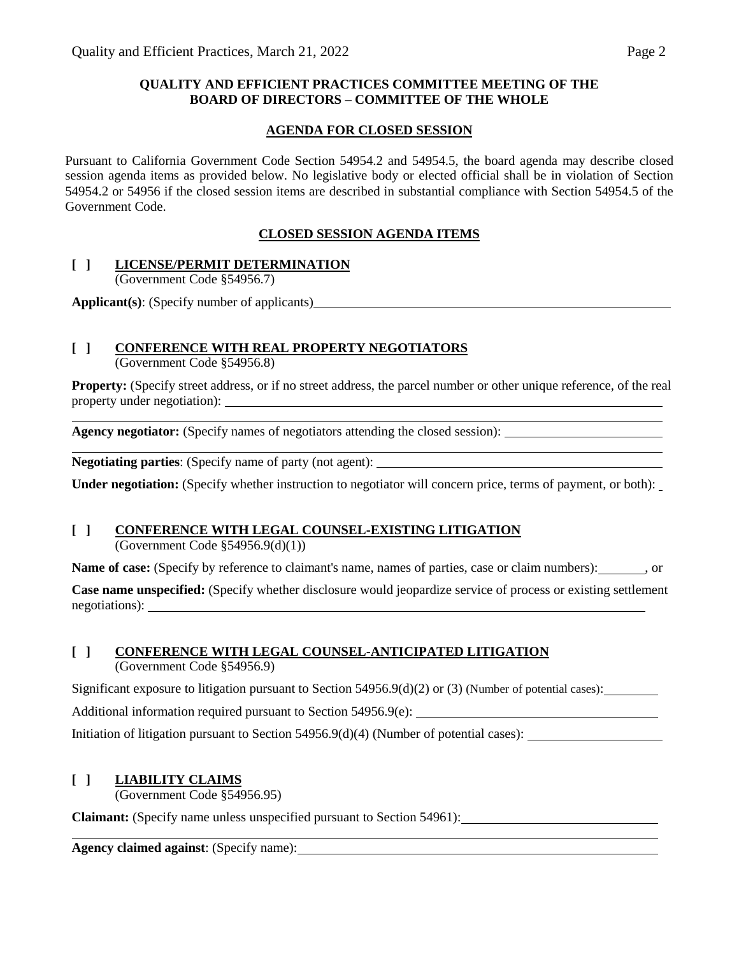#### **QUALITY AND EFFICIENT PRACTICES COMMITTEE MEETING OF THE BOARD OF DIRECTORS – COMMITTEE OF THE WHOLE**

#### **AGENDA FOR CLOSED SESSION**

Pursuant to California Government Code Section 54954.2 and 54954.5, the board agenda may describe closed session agenda items as provided below. No legislative body or elected official shall be in violation of Section 54954.2 or 54956 if the closed session items are described in substantial compliance with Section 54954.5 of the Government Code.

### **CLOSED SESSION AGENDA ITEMS**

### **[ ] LICENSE/PERMIT DETERMINATION**

(Government Code §54956.7)

**Applicant(s)**: (Specify number of applicants)

# **[ ] CONFERENCE WITH REAL PROPERTY NEGOTIATORS**

(Government Code §54956.8)

**Property:** (Specify street address, or if no street address, the parcel number or other unique reference, of the real property under negotiation):

**Agency negotiator:** (Specify names of negotiators attending the closed session):

**Negotiating parties**: (Specify name of party (not agent):

**Under negotiation:** (Specify whether instruction to negotiator will concern price, terms of payment, or both):

# **[ ] CONFERENCE WITH LEGAL COUNSEL-EXISTING LITIGATION**

(Government Code §54956.9(d)(1))

**Name of case:** (Specify by reference to claimant's name, names of parties, case or claim numbers):  $\cdot$ , or

**Case name unspecified:** (Specify whether disclosure would jeopardize service of process or existing settlement negotiations):

### **[ ] CONFERENCE WITH LEGAL COUNSEL-ANTICIPATED LITIGATION**

(Government Code §54956.9)

Significant exposure to litigation pursuant to Section 54956.9(d)(2) or (3) (Number of potential cases):

Additional information required pursuant to Section 54956.9(e):

Initiation of litigation pursuant to Section 54956.9(d)(4) (Number of potential cases):

## **[ ] LIABILITY CLAIMS**

(Government Code §54956.95)

**Claimant:** (Specify name unless unspecified pursuant to Section 54961):

**Agency claimed against**: (Specify name):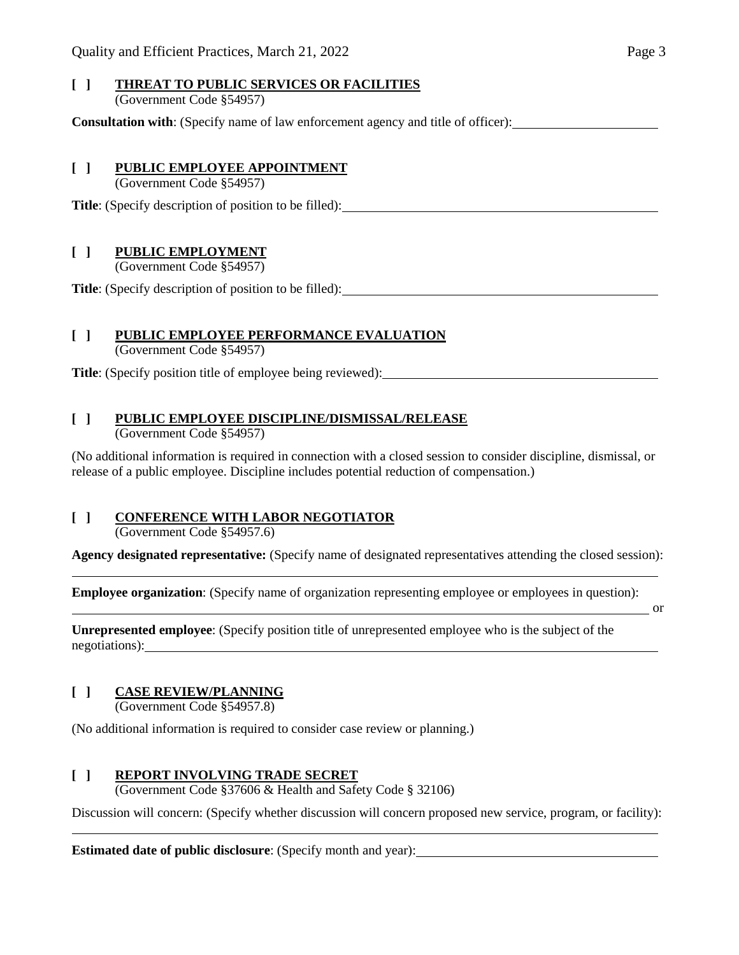# **[ ] THREAT TO PUBLIC SERVICES OR FACILITIES**

(Government Code §54957)

**Consultation with**: (Specify name of law enforcement agency and title of officer):

#### **[ ] PUBLIC EMPLOYEE APPOINTMENT**

(Government Code §54957)

**Title**: (Specify description of position to be filled):

### **[ ] PUBLIC EMPLOYMENT**

(Government Code §54957)

**Title**: (Specify description of position to be filled):

#### **[ ] PUBLIC EMPLOYEE PERFORMANCE EVALUATION**

(Government Code §54957)

**Title**: (Specify position title of employee being reviewed):

#### **[ ] PUBLIC EMPLOYEE DISCIPLINE/DISMISSAL/RELEASE**

(Government Code §54957)

(No additional information is required in connection with a closed session to consider discipline, dismissal, or release of a public employee. Discipline includes potential reduction of compensation.)

## **[ ] CONFERENCE WITH LABOR NEGOTIATOR**

(Government Code §54957.6)

**Agency designated representative:** (Specify name of designated representatives attending the closed session):

**Employee organization**: (Specify name of organization representing employee or employees in question):

or

**Unrepresented employee**: (Specify position title of unrepresented employee who is the subject of the negotiations):

### **[ ] CASE REVIEW/PLANNING**

(Government Code §54957.8)

(No additional information is required to consider case review or planning.)

### **[ ] REPORT INVOLVING TRADE SECRET**

(Government Code §37606 & Health and Safety Code § 32106)

Discussion will concern: (Specify whether discussion will concern proposed new service, program, or facility):

**Estimated date of public disclosure**: (Specify month and year):